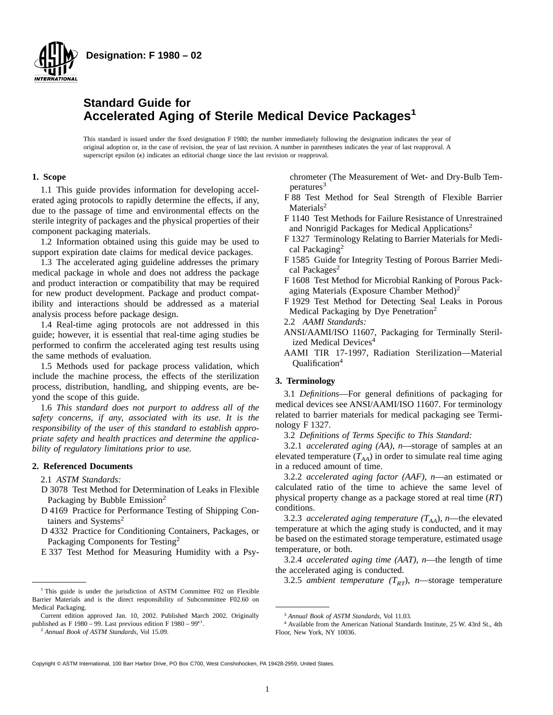

# **Standard Guide for Accelerated Aging of Sterile Medical Device Packages<sup>1</sup>**

This standard is issued under the fixed designation F 1980; the number immediately following the designation indicates the year of original adoption or, in the case of revision, the year of last revision. A number in parentheses indicates the year of last reapproval. A superscript epsilon  $(\epsilon)$  indicates an editorial change since the last revision or reapproval.

## **1. Scope**

1.1 This guide provides information for developing accelerated aging protocols to rapidly determine the effects, if any, due to the passage of time and environmental effects on the sterile integrity of packages and the physical properties of their component packaging materials.

1.2 Information obtained using this guide may be used to support expiration date claims for medical device packages.

1.3 The accelerated aging guideline addresses the primary medical package in whole and does not address the package and product interaction or compatibility that may be required for new product development. Package and product compatibility and interactions should be addressed as a material analysis process before package design.

1.4 Real-time aging protocols are not addressed in this guide; however, it is essential that real-time aging studies be performed to confirm the accelerated aging test results using the same methods of evaluation.

1.5 Methods used for package process validation, which include the machine process, the effects of the sterilization process, distribution, handling, and shipping events, are beyond the scope of this guide.

1.6 *This standard does not purport to address all of the safety concerns, if any, associated with its use. It is the responsibility of the user of this standard to establish appropriate safety and health practices and determine the applicability of regulatory limitations prior to use.*

## **2. Referenced Documents**

2.1 *ASTM Standards:*

- D 3078 Test Method for Determination of Leaks in Flexible Packaging by Bubble Emission<sup>2</sup>
- D 4169 Practice for Performance Testing of Shipping Containers and Systems<sup>2</sup>
- D 4332 Practice for Conditioning Containers, Packages, or Packaging Components for Testing2
- E 337 Test Method for Measuring Humidity with a Psy-

chrometer (The Measurement of Wet- and Dry-Bulb Temperatures<sup>3</sup>

- F 88 Test Method for Seal Strength of Flexible Barrier Materials<sup>2</sup>
- F 1140 Test Methods for Failure Resistance of Unrestrained and Nonrigid Packages for Medical Applications2
- F 1327 Terminology Relating to Barrier Materials for Medical Packaging<sup>2</sup>
- F 1585 Guide for Integrity Testing of Porous Barrier Medical Packages<sup>2</sup>
- F 1608 Test Method for Microbial Ranking of Porous Packaging Materials (Exposure Chamber Method)<sup>2</sup>
- F 1929 Test Method for Detecting Seal Leaks in Porous Medical Packaging by Dye Penetration<sup>2</sup>
- 2.2 *AAMI Standards:*
- ANSI/AAMI/ISO 11607, Packaging for Terminally Sterilized Medical Devices<sup>4</sup>
- AAMI TIR 17-1997, Radiation Sterilization—Material Qualification4

## **3. Terminology**

3.1 *Definitions*—For general definitions of packaging for medical devices see ANSI/AAMI/ISO 11607. For terminology related to barrier materials for medical packaging see Terminology F 1327.

3.2 *Definitions of Terms Specific to This Standard:*

3.2.1 *accelerated aging (AA)*, *n*—storage of samples at an elevated temperature  $(T_{AA})$  in order to simulate real time aging in a reduced amount of time.

3.2.2 *accelerated aging factor (AAF)*, *n*—an estimated or calculated ratio of the time to achieve the same level of physical property change as a package stored at real time (*RT*) conditions.

3.2.3 *accelerated aging temperature*  $(T<sub>AA</sub>)$ , *n*—the elevated temperature at which the aging study is conducted, and it may be based on the estimated storage temperature, estimated usage temperature, or both.

3.2.4 *accelerated aging time (AAT)*, *n*—the length of time the accelerated aging is conducted.

3.2.5 *ambient temperature*  $(T_{RT})$ , *n*—storage temperature

Copyright © ASTM International, 100 Barr Harbor Drive, PO Box C700, West Conshohocken, PA 19428-2959, United States.

<sup>&</sup>lt;sup>1</sup> This guide is under the jurisdiction of ASTM Committee F02 on Flexible Barrier Materials and is the direct responsibility of Subcommittee F02.60 on Medical Packaging.

Current edition approved Jan. 10, 2002. Published March 2002. Originally published as F 1980 – 99. Last previous edition F 1980 – 99<sup> $\epsilon$ 1</sup>.

<sup>2</sup> *Annual Book of ASTM Standards*, Vol 15.09.

<sup>3</sup> *Annual Book of ASTM Standards*, Vol 11.03.

<sup>4</sup> Available from the American National Standards Institute, 25 W. 43rd St., 4th Floor, New York, NY 10036.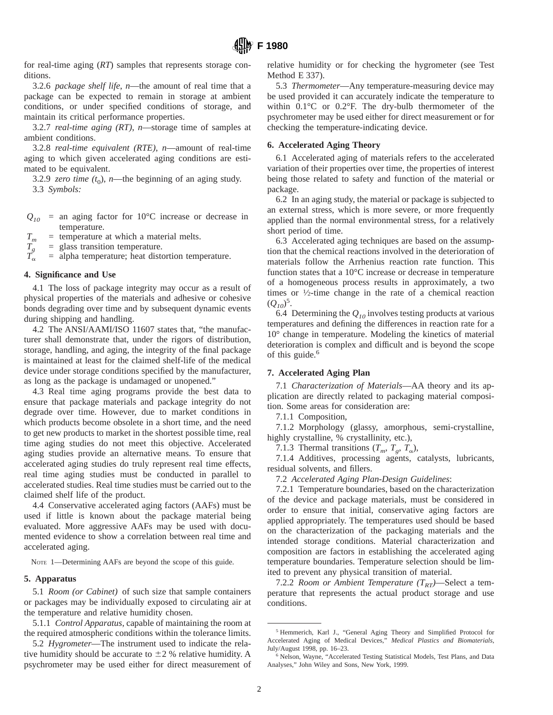for real-time aging (*RT*) samples that represents storage conditions.

3.2.6 *package shelf life*, *n*—the amount of real time that a package can be expected to remain in storage at ambient conditions, or under specified conditions of storage, and maintain its critical performance properties.

3.2.7 *real-time aging (RT)*, *n*—storage time of samples at ambient conditions.

3.2.8 *real-time equivalent (RTE)*, *n*—amount of real-time aging to which given accelerated aging conditions are estimated to be equivalent.

3.2.9 *zero time*  $(t_0)$ , *n*—the beginning of an aging study. 3.3 *Symbols:*

- $Q_{10}$  = an aging factor for 10°C increase or decrease in temperature.
- 

 $=$  glass transition temperature.

 $T_m$  = temperature at which a material melts.<br>  $T_g$  = glass transition temperature.<br>  $T_\alpha$  = alpha temperature; heat distortion temp  $=$  alpha temperature; heat distortion temperature.

#### **4. Significance and Use**

4.1 The loss of package integrity may occur as a result of physical properties of the materials and adhesive or cohesive bonds degrading over time and by subsequent dynamic events during shipping and handling.

4.2 The ANSI/AAMI/ISO 11607 states that, "the manufacturer shall demonstrate that, under the rigors of distribution, storage, handling, and aging, the integrity of the final package is maintained at least for the claimed shelf-life of the medical device under storage conditions specified by the manufacturer, as long as the package is undamaged or unopened."

4.3 Real time aging programs provide the best data to ensure that package materials and package integrity do not degrade over time. However, due to market conditions in which products become obsolete in a short time, and the need to get new products to market in the shortest possible time, real time aging studies do not meet this objective. Accelerated aging studies provide an alternative means. To ensure that accelerated aging studies do truly represent real time effects, real time aging studies must be conducted in parallel to accelerated studies. Real time studies must be carried out to the claimed shelf life of the product.

4.4 Conservative accelerated aging factors (AAFs) must be used if little is known about the package material being evaluated. More aggressive AAFs may be used with documented evidence to show a correlation between real time and accelerated aging.

NOTE 1—Determining AAFs are beyond the scope of this guide.

#### **5. Apparatus**

5.1 *Room (or Cabinet)* of such size that sample containers or packages may be individually exposed to circulating air at the temperature and relative humidity chosen.

5.1.1 *Control Apparatus*, capable of maintaining the room at the required atmospheric conditions within the tolerance limits.

5.2 *Hygrometer*—The instrument used to indicate the relative humidity should be accurate to  $\pm 2$  % relative humidity. A psychrometer may be used either for direct measurement of relative humidity or for checking the hygrometer (see Test Method E 337).

5.3 *Thermometer*—Any temperature-measuring device may be used provided it can accurately indicate the temperature to within 0.1°C or 0.2°F. The dry-bulb thermometer of the psychrometer may be used either for direct measurement or for checking the temperature-indicating device.

## **6. Accelerated Aging Theory**

6.1 Accelerated aging of materials refers to the accelerated variation of their properties over time, the properties of interest being those related to safety and function of the material or package.

6.2 In an aging study, the material or package is subjected to an external stress, which is more severe, or more frequently applied than the normal environmental stress, for a relatively short period of time.

6.3 Accelerated aging techniques are based on the assumption that the chemical reactions involved in the deterioration of materials follow the Arrhenius reaction rate function. This function states that a 10°C increase or decrease in temperature of a homogeneous process results in approximately, a two times or 1⁄2-time change in the rate of a chemical reaction  $(Q_{10})^5$ .

6.4 Determining the  $Q_{10}$  involves testing products at various temperatures and defining the differences in reaction rate for a 10° change in temperature. Modeling the kinetics of material deterioration is complex and difficult and is beyond the scope of this guide.<sup>6</sup>

#### **7. Accelerated Aging Plan**

7.1 *Characterization of Materials*—AA theory and its application are directly related to packaging material composition. Some areas for consideration are:

7.1.1 Composition,

7.1.2 Morphology (glassy, amorphous, semi-crystalline, highly crystalline, % crystallinity, etc.),

7.1.3 Thermal transitions  $(T_m, T_g, T_\alpha)$ ,

7.1.4 Additives, processing agents, catalysts, lubricants, residual solvents, and fillers.

7.2 *Accelerated Aging Plan-Design Guidelines*:

7.2.1 Temperature boundaries, based on the characterization of the device and package materials, must be considered in order to ensure that initial, conservative aging factors are applied appropriately. The temperatures used should be based on the characterization of the packaging materials and the intended storage conditions. Material characterization and composition are factors in establishing the accelerated aging temperature boundaries. Temperature selection should be limited to prevent any physical transition of material.

7.2.2 *Room or Ambient Temperature*  $(T_{RT})$ —Select a temperature that represents the actual product storage and use conditions.

<sup>5</sup> Hemmerich, Karl J., "General Aging Theory and Simplified Protocol for Accelerated Aging of Medical Devices," *Medical Plastics and Biomaterials*, July/August 1998, pp. 16–23.

<sup>6</sup> Nelson, Wayne, "Accelerated Testing Statistical Models, Test Plans, and Data Analyses," John Wiley and Sons, New York, 1999.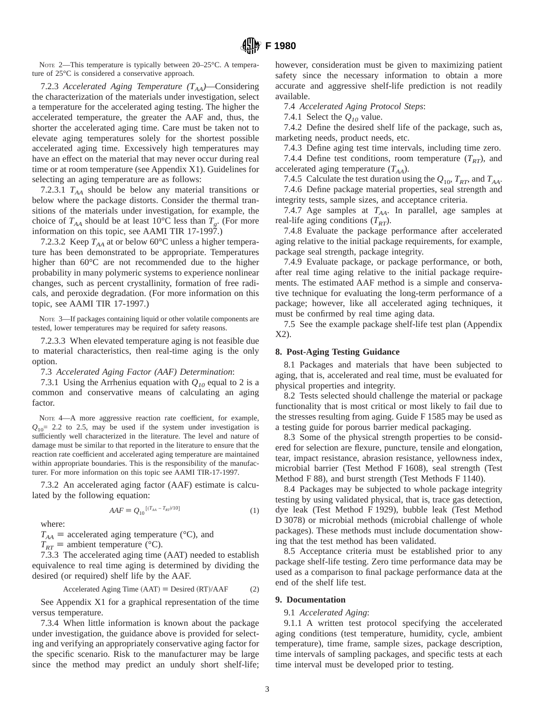NOTE 2—This temperature is typically between 20–25°C. A temperature of 25°C is considered a conservative approach.

# 7.2.3 Accelerated Aging Temperature  $(T_{AA})$ —Considering the characterization of the materials under investigation, select a temperature for the accelerated aging testing. The higher the accelerated temperature, the greater the AAF and, thus, the shorter the accelerated aging time. Care must be taken not to elevate aging temperatures solely for the shortest possible accelerated aging time. Excessively high temperatures may have an effect on the material that may never occur during real time or at room temperature (see Appendix X1). Guidelines for selecting an aging temperature are as follows:

7.2.3.1  $T_{AA}$  should be below any material transitions or below where the package distorts. Consider the thermal transitions of the materials under investigation, for example, the choice of  $T_{AA}$  should be at least 10<sup>o</sup>C less than  $T_g$ . (For more information on this topic, see AAMI TIR 17-1997.)

7.2.3.2 Keep  $T_{AA}$  at or below 60°C unless a higher temperature has been demonstrated to be appropriate. Temperatures higher than 60°C are not recommended due to the higher probability in many polymeric systems to experience nonlinear changes, such as percent crystallinity, formation of free radicals, and peroxide degradation. (For more information on this topic, see AAMI TIR 17-1997.)

NOTE 3—If packages containing liquid or other volatile components are tested, lower temperatures may be required for safety reasons.

7.2.3.3 When elevated temperature aging is not feasible due to material characteristics, then real-time aging is the only option.

7.3 *Accelerated Aging Factor (AAF) Determination*:

7.3.1 Using the Arrhenius equation with  $Q_{10}$  equal to 2 is a common and conservative means of calculating an aging factor.

NOTE 4—A more aggressive reaction rate coefficient, for example,  $Q_{10}$ = 2.2 to 2.5, may be used if the system under investigation is sufficiently well characterized in the literature. The level and nature of damage must be similar to that reported in the literature to ensure that the reaction rate coefficient and accelerated aging temperature are maintained within appropriate boundaries. This is the responsibility of the manufacturer. For more information on this topic see AAMI TIR-17-1997.

7.3.2 An accelerated aging factor (AAF) estimate is calculated by the following equation:

 $AAF \equiv Q_{10}^{[(T_{AA} - T_{RT})/10]}$  (1)

where:

 $T_{AA}$  = accelerated aging temperature (°C), and

 $T_{RT}$  = ambient temperature (°C).

7.3.3 The accelerated aging time (AAT) needed to establish equivalence to real time aging is determined by dividing the desired (or required) shelf life by the AAF.

$$
Accepted \text{ Aging Time (AAT)} \equiv Designed (RT)/AAF \tag{2}
$$

See Appendix X1 for a graphical representation of the time versus temperature.

7.3.4 When little information is known about the package under investigation, the guidance above is provided for selecting and verifying an appropriately conservative aging factor for the specific scenario. Risk to the manufacturer may be large since the method may predict an unduly short shelf-life;

however, consideration must be given to maximizing patient safety since the necessary information to obtain a more accurate and aggressive shelf-life prediction is not readily available.

7.4 *Accelerated Aging Protocol Steps*:

7.4.1 Select the  $Q_{10}$  value.

7.4.2 Define the desired shelf life of the package, such as, marketing needs, product needs, etc.

7.4.3 Define aging test time intervals, including time zero.

7.4.4 Define test conditions, room temperature  $(T_{RT})$ , and accelerated aging temperature  $(T_{AA})$ .

7.4.5 Calculate the test duration using the  $Q_{10}$ ,  $T_{RT}$ , and  $T_{AA}$ .

7.4.6 Define package material properties, seal strength and integrity tests, sample sizes, and acceptance criteria.

7.4.7 Age samples at  $T_{AA}$ . In parallel, age samples at real-life aging conditions  $(T_{RT})$ .

7.4.8 Evaluate the package performance after accelerated aging relative to the initial package requirements, for example, package seal strength, package integrity.

7.4.9 Evaluate package, or package performance, or both, after real time aging relative to the initial package requirements. The estimated AAF method is a simple and conservative technique for evaluating the long-term performance of a package; however, like all accelerated aging techniques, it must be confirmed by real time aging data.

7.5 See the example package shelf-life test plan (Appendix X2).

## **8. Post-Aging Testing Guidance**

8.1 Packages and materials that have been subjected to aging, that is, accelerated and real time, must be evaluated for physical properties and integrity.

8.2 Tests selected should challenge the material or package functionality that is most critical or most likely to fail due to the stresses resulting from aging. Guide F 1585 may be used as a testing guide for porous barrier medical packaging.

8.3 Some of the physical strength properties to be considered for selection are flexure, puncture, tensile and elongation, tear, impact resistance, abrasion resistance, yellowness index, microbial barrier (Test Method F 1608), seal strength (Test Method F 88), and burst strength (Test Methods F 1140).

8.4 Packages may be subjected to whole package integrity testing by using validated physical, that is, trace gas detection, dye leak (Test Method F 1929), bubble leak (Test Method D 3078) or microbial methods (microbial challenge of whole packages). These methods must include documentation showing that the test method has been validated.

8.5 Acceptance criteria must be established prior to any package shelf-life testing. Zero time performance data may be used as a comparison to final package performance data at the end of the shelf life test.

## **9. Documentation**

## 9.1 *Accelerated Aging*:

9.1.1 A written test protocol specifying the accelerated aging conditions (test temperature, humidity, cycle, ambient temperature), time frame, sample sizes, package description, time intervals of sampling packages, and specific tests at each time interval must be developed prior to testing.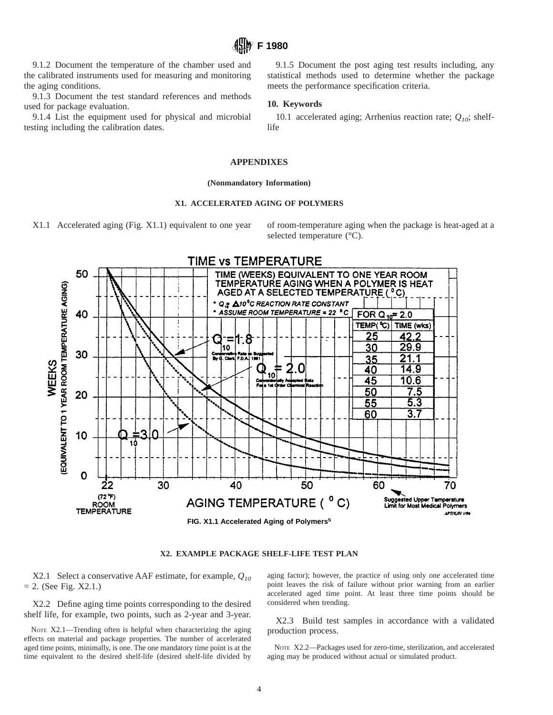9.1.2 Document the temperature of the chamber used and the calibrated instruments used for measuring and monitoring the aging conditions.

9.1.3 Document the test standard references and methods used for package evaluation.

9.1.4 List the equipment used for physical and microbial testing including the calibration dates.

9.1.5 Document the post aging test results including, any statistical methods used to determine whether the package meets the performance specification criteria.

## **10. Keywords**

**F 1980**

10.1 accelerated aging; Arrhenius reaction rate;  $Q_{10}$ ; shelflife

#### **APPENDIXES**

#### **(Nonmandatory Information)**

#### **X1. ACCELERATED AGING OF POLYMERS**

X1.1 Accelerated aging (Fig. X1.1) equivalent to one year of room-temperature aging when the package is heat-aged at a

selected temperature (°C).



#### **X2. EXAMPLE PACKAGE SHELF-LIFE TEST PLAN**

X2.1 Select a conservative AAF estimate, for example, *Q10*  $= 2.$  (See Fig. X2.1.)

X2.2 Define aging time points corresponding to the desired shelf life, for example, two points, such as 2-year and 3-year.

NOTE X2.1—Trending often is helpful when characterizing the aging effects on material and package properties. The number of accelerated aged time points, minimally, is one. The one mandatory time point is at the time equivalent to the desired shelf-life (desired shelf-life divided by

aging factor); however, the practice of using only one accelerated time point leaves the risk of failure without prior warning from an earlier accelerated aged time point. At least three time points should be considered when trending.

X2.3 Build test samples in accordance with a validated production process.

NOTE X2.2—Packages used for zero-time, sterilization, and accelerated aging may be produced without actual or simulated product.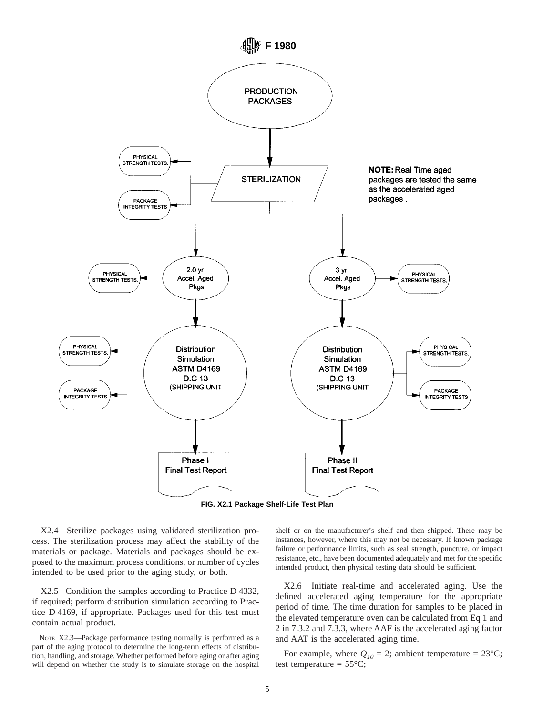

**FIG. X2.1 Package Shelf-Life Test Plan**

X2.4 Sterilize packages using validated sterilization process. The sterilization process may affect the stability of the materials or package. Materials and packages should be exposed to the maximum process conditions, or number of cycles intended to be used prior to the aging study, or both.

X2.5 Condition the samples according to Practice D 4332, if required; perform distribution simulation according to Practice D 4169, if appropriate. Packages used for this test must contain actual product.

NOTE X2.3—Package performance testing normally is performed as a part of the aging protocol to determine the long-term effects of distribution, handling, and storage. Whether performed before aging or after aging will depend on whether the study is to simulate storage on the hospital shelf or on the manufacturer's shelf and then shipped. There may be instances, however, where this may not be necessary. If known package failure or performance limits, such as seal strength, puncture, or impact resistance, etc., have been documented adequately and met for the specific intended product, then physical testing data should be sufficient.

X2.6 Initiate real-time and accelerated aging. Use the defined accelerated aging temperature for the appropriate period of time. The time duration for samples to be placed in the elevated temperature oven can be calculated from Eq 1 and 2 in 7.3.2 and 7.3.3, where AAF is the accelerated aging factor and AAT is the accelerated aging time.

For example, where  $Q_{10} = 2$ ; ambient temperature = 23°C; test temperature =  $55^{\circ}$ C;